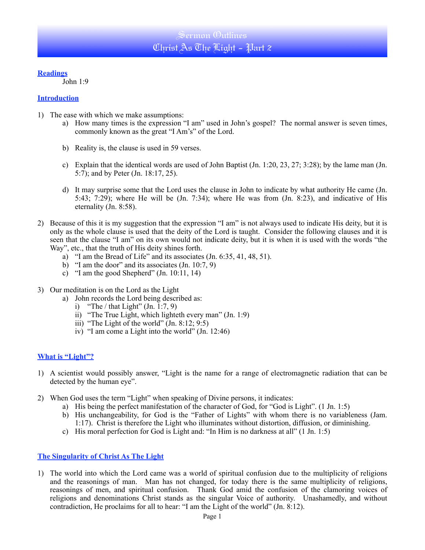### **Readings**

John 1:9

### **Introduction**

- 1) The ease with which we make assumptions:
	- a) How many times is the expression "I am" used in John's gospel? The normal answer is seven times, commonly known as the great "I Am's" of the Lord.
	- b) Reality is, the clause is used in 59 verses.
	- c) Explain that the identical words are used of John Baptist (Jn. 1:20, 23, 27; 3:28); by the lame man (Jn. 5:7); and by Peter (Jn. 18:17, 25).
	- d) It may surprise some that the Lord uses the clause in John to indicate by what authority He came (Jn. 5:43; 7:29); where He will be  $(Jn. 7:34)$ ; where He was from  $(Jn. 8:23)$ , and indicative of His eternality (Jn. 8:58).
- 2) Because of this it is my suggestion that the expression "I am" is not always used to indicate His deity, but it is only as the whole clause is used that the deity of the Lord is taught. Consider the following clauses and it is seen that the clause "I am" on its own would not indicate deity, but it is when it is used with the words "the Way", etc., that the truth of His deity shines forth.
	- a) "I am the Bread of Life" and its associates (Jn. 6:35, 41, 48, 51).
	- b) "I am the door" and its associates  $(In. 10:7, 9)$
	- c) "I am the good Shepherd" (Jn. 10:11, 14)
- 3) Our meditation is on the Lord as the Light
	- a) John records the Lord being described as:
		- i) "The / that Light"  $(In, 1:7, 9)$
		- ii) "The True Light, which lighteth every man" (Jn. 1:9)
		- iii) "The Light of the world"  $\overline{(Jn. 8:12: 9:5)}$
		- iv) "I am come a Light into the world" (Jn. 12:46)

## **What is "Light"?**

- 1) A scientist would possibly answer, "Light is the name for a range of electromagnetic radiation that can be detected by the human eye".
- 2) When God uses the term "Light" when speaking of Divine persons, it indicates:
	- a) His being the perfect manifestation of the character of God, for "God is Light". (1 Jn. 1:5)
	- b) His unchangeability, for God is the "Father of Lights" with whom there is no variableness (Jam. 1:17). Christ is therefore the Light who illuminates without distortion, diffusion, or diminishing.
	- c) His moral perfection for God is Light and: "In Him is no darkness at all" (1 Jn. 1:5)

## **The Singularity of Christ As The Light**

1) The world into which the Lord came was a world of spiritual confusion due to the multiplicity of religions and the reasonings of man. Man has not changed, for today there is the same multiplicity of religions, reasonings of men, and spiritual confusion. Thank God amid the confusion of the clamoring voices of religions and denominations Christ stands as the singular Voice of authority. Unashamedly, and without contradiction, He proclaims for all to hear: "I am the Light of the world" (Jn. 8:12).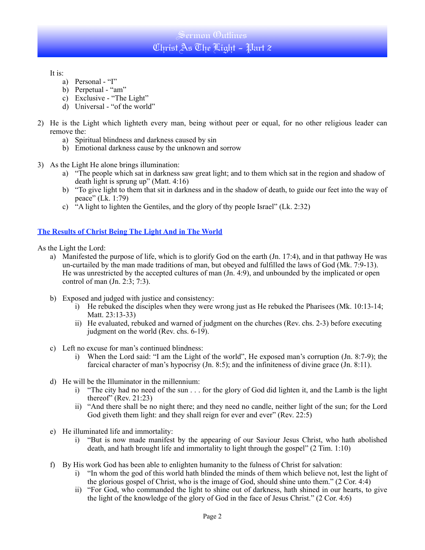# Sermon Outlines Christ As The Light - Part 2

It is:

- a) Personal "I"
- b) Perpetual "am"
- c) Exclusive "The Light"
- d) Universal "of the world"
- 2) He is the Light which lighteth every man, being without peer or equal, for no other religious leader can remove the:
	- a) Spiritual blindness and darkness caused by sin
	- b) Emotional darkness cause by the unknown and sorrow
- 3) As the Light He alone brings illumination:
	- a) "The people which sat in darkness saw great light; and to them which sat in the region and shadow of death light is sprung up" (Matt. 4:16)
	- b) "To give light to them that sit in darkness and in the shadow of death, to guide our feet into the way of peace" (Lk. 1:79)
	- c) "A light to lighten the Gentiles, and the glory of thy people Israel" (Lk. 2:32)

## **The Results of Christ Being The Light And in The World**

As the Light the Lord:

- a) Manifested the purpose of life, which is to glorify God on the earth (Jn. 17:4), and in that pathway He was un-curtailed by the man made traditions of man, but obeyed and fulfilled the laws of God (Mk. 7:9-13). He was unrestricted by the accepted cultures of man (Jn. 4:9), and unbounded by the implicated or open control of man (Jn. 2:3; 7:3).
- b) Exposed and judged with justice and consistency:
	- i) He rebuked the disciples when they were wrong just as He rebuked the Pharisees (Mk. 10:13-14; Matt. 23:13-33)
	- ii) He evaluated, rebuked and warned of judgment on the churches (Rev. chs. 2-3) before executing judgment on the world (Rev. chs. 6-19).
- c) Left no excuse for man's continued blindness:
	- i) When the Lord said: "I am the Light of the world", He exposed man's corruption (Jn. 8:7-9); the farcical character of man's hypocrisy (Jn. 8:5); and the infiniteness of divine grace (Jn. 8:11).
- d) He will be the Illuminator in the millennium:
	- i) "The city had no need of the sun . . . for the glory of God did lighten it, and the Lamb is the light thereof" (Rev. 21:23)
	- ii) "And there shall be no night there; and they need no candle, neither light of the sun; for the Lord God giveth them light: and they shall reign for ever and ever" (Rev. 22:5)
- e) He illuminated life and immortality:
	- i) "But is now made manifest by the appearing of our Saviour Jesus Christ, who hath abolished death, and hath brought life and immortality to light through the gospel" (2 Tim. 1:10)
- f) By His work God has been able to enlighten humanity to the fulness of Christ for salvation:
	- i) "In whom the god of this world hath blinded the minds of them which believe not, lest the light of the glorious gospel of Christ, who is the image of God, should shine unto them." (2 Cor. 4:4)
	- ii) "For God, who commanded the light to shine out of darkness, hath shined in our hearts, to give the light of the knowledge of the glory of God in the face of Jesus Christ." (2 Cor. 4:6)